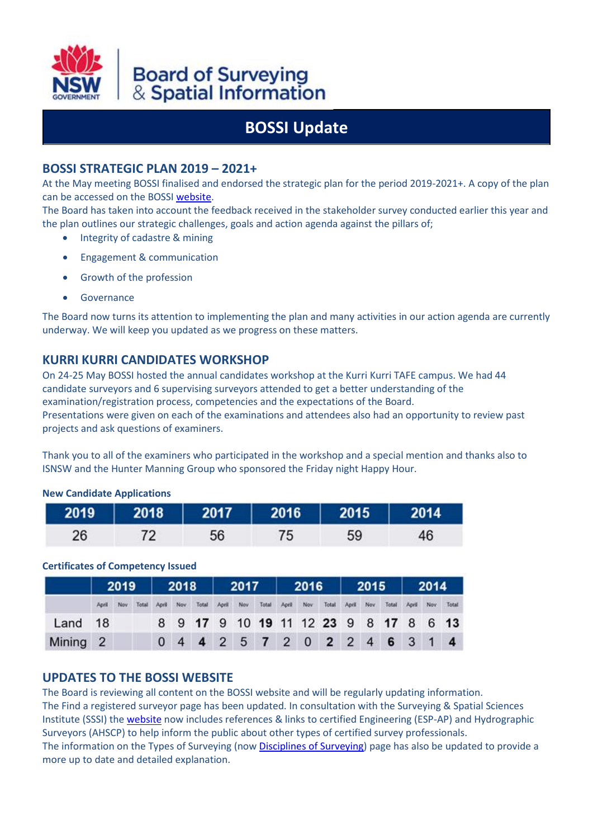

# Board of Surveying<br>& Spatial Information

# **BOSSI Update**

# **BOSSI STRATEGIC PLAN 2019 – 2021+**

At the May meeting BOSSI finalised and endorsed the strategic plan for the period 2019-2021+. A copy of the plan can be accessed on the BOSSI [website.](http://www.bossi.nsw.gov.au/__data/assets/pdf_file/0020/221690/BOSSI_strategic_plan_2019-2021_-_FINAL.pdf)

The Board has taken into account the feedback received in the stakeholder survey conducted earlier this year and the plan outlines our strategic challenges, goals and action agenda against the pillars of;

- Integrity of cadastre & mining
- Engagement & communication
- Growth of the profession
- Governance

The Board now turns its attention to implementing the plan and many activities in our action agenda are currently underway. We will keep you updated as we progress on these matters.

# **KURRI KURRI CANDIDATES WORKSHOP**

On 24-25 May BOSSI hosted the annual candidates workshop at the Kurri Kurri TAFE campus. We had 44 candidate surveyors and 6 supervising surveyors attended to get a better understanding of the examination/registration process, competencies and the expectations of the Board. Presentations were given on each of the examinations and attendees also had an opportunity to review past projects and ask questions of examiners.

Thank you to all of the examiners who participated in the workshop and a special mention and thanks also to ISNSW and the Hunter Manning Group who sponsored the Friday night Happy Hour.

#### **New Candidate Applications**

| 2019 |  | 2018   2017   2016   2015   1 | 2014 |  |  |  |
|------|--|-------------------------------|------|--|--|--|
| 26   |  | 59                            |      |  |  |  |

#### **Certificates of Competency Issued**

|                     | 2019  |  |                 |  | 2018 2017 |       |           |  |       | 2016 2015 2014 |     |             |  |      |                                       |           |  |       |
|---------------------|-------|--|-----------------|--|-----------|-------|-----------|--|-------|----------------|-----|-------------|--|------|---------------------------------------|-----------|--|-------|
|                     | April |  | Nov Total April |  | Nov.      | Total | April Nov |  | Total | April          | Nov | Total April |  | Nov. | Total                                 | April Nov |  | Total |
| Land 18             |       |  |                 |  |           |       |           |  |       |                |     |             |  |      | 8 9 17 9 10 19 11 12 23 9 8 17 8 6 13 |           |  |       |
| Mining <sub>2</sub> |       |  |                 |  |           |       |           |  |       |                |     |             |  |      | 0 4 4 2 5 7 2 0 2 2 4 6 3 1 4         |           |  |       |

### **UPDATES TO THE BOSSI WEBSITE**

The Board is reviewing all content on the BOSSI website and will be regularly updating information. The Find a registered surveyor page has been updated. In consultation with the Surveying & Spatial Sciences Institute (SSSI) the [website](http://www.bossi.nsw.gov.au/about/other_forms_of_surveyor_certification) now includes references & links to certified Engineering (ESP-AP) and Hydrographic Surveyors (AHSCP) to help inform the public about other types of certified survey professionals. The information on the Types of Surveying (now **Disciplines of Surveying**) page has also be updated to provide a more up to date and detailed explanation.